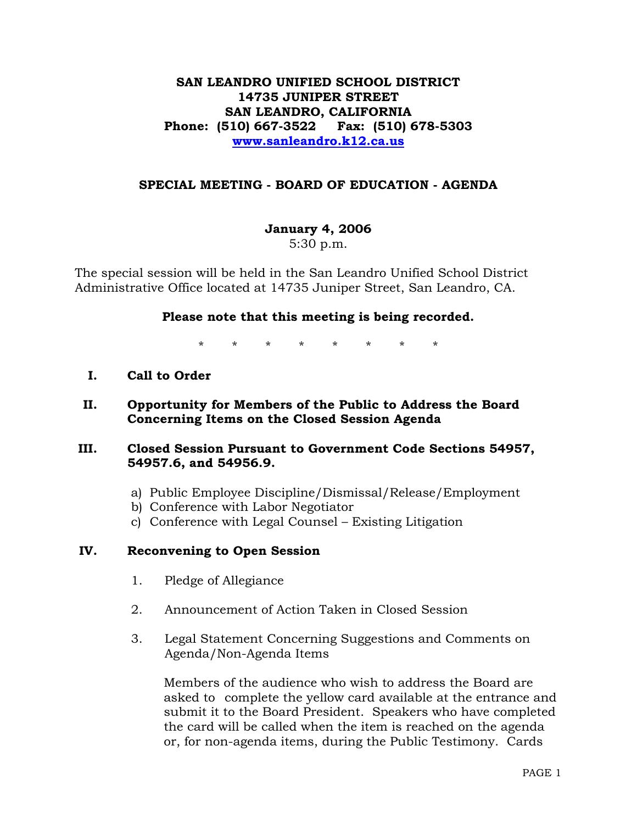## **SAN LEANDRO UNIFIED SCHOOL DISTRICT 14735 JUNIPER STREET SAN LEANDRO, CALIFORNIA Phone: (510) 667-3522 Fax: (510) 678-5303 www.sanleandro.k12.ca.us**

## **SPECIAL MEETING - BOARD OF EDUCATION - AGENDA**

## **January 4, 2006**

5:30 p.m.

The special session will be held in the San Leandro Unified School District Administrative Office located at 14735 Juniper Street, San Leandro, CA.

### **Please note that this meeting is being recorded.**

\* \* \* \* \* \* \* \*

- **I. Call to Order**
- **II. Opportunity for Members of the Public to Address the Board Concerning Items on the Closed Session Agenda**
- **III. Closed Session Pursuant to Government Code Sections 54957, 54957.6, and 54956.9.** 
	- a) Public Employee Discipline/Dismissal/Release/Employment
	- b) Conference with Labor Negotiator
	- c) Conference with Legal Counsel Existing Litigation

### **IV. Reconvening to Open Session**

- 1. Pledge of Allegiance
- 2. Announcement of Action Taken in Closed Session
- 3. Legal Statement Concerning Suggestions and Comments on Agenda/Non-Agenda Items

 Members of the audience who wish to address the Board are asked to complete the yellow card available at the entrance and submit it to the Board President. Speakers who have completed the card will be called when the item is reached on the agenda or, for non-agenda items, during the Public Testimony. Cards